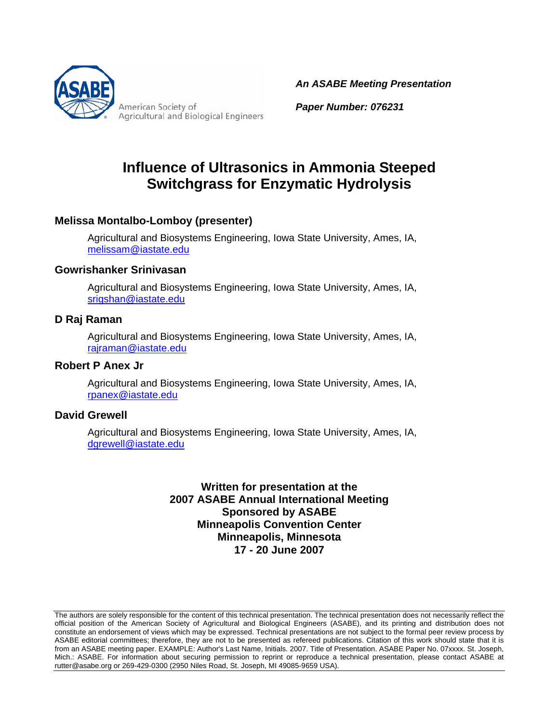

American Society of **Agricultural and Biological Engineers**  *An ASABE Meeting Presentation*

*Paper Number: 076231*

# **Influence of Ultrasonics in Ammonia Steeped Switchgrass for Enzymatic Hydrolysis**

#### **Melissa Montalbo-Lomboy (presenter)**

Agricultural and Biosystems Engineering, Iowa State University, Ames, IA, melissam@iastate.edu

#### **Gowrishanker Srinivasan**

Agricultural and Biosystems Engineering, Iowa State University, Ames, IA, srigshan@iastate.edu

#### **D Raj Raman**

 Agricultural and Biosystems Engineering, Iowa State University, Ames, IA, rajraman@iastate.edu

#### **Robert P Anex Jr**

Agricultural and Biosystems Engineering, Iowa State University, Ames, IA, rpanex@iastate.edu

#### **David Grewell**

Agricultural and Biosystems Engineering, Iowa State University, Ames, IA, dgrewell@iastate.edu

#### **Written for presentation at the 2007 ASABE Annual International Meeting Sponsored by ASABE Minneapolis Convention Center Minneapolis, Minnesota 17 - 20 June 2007**

The authors are solely responsible for the content of this technical presentation. The technical presentation does not necessarily reflect the official position of the American Society of Agricultural and Biological Engineers (ASABE), and its printing and distribution does not constitute an endorsement of views which may be expressed. Technical presentations are not subject to the formal peer review process by ASABE editorial committees; therefore, they are not to be presented as refereed publications. Citation of this work should state that it is from an ASABE meeting paper. EXAMPLE: Author's Last Name, Initials. 2007. Title of Presentation. ASABE Paper No. 07xxxx. St. Joseph, Mich.: ASABE. For information about securing permission to reprint or reproduce a technical presentation, please contact ASABE at rutter@asabe.org or 269-429-0300 (2950 Niles Road, St. Joseph, MI 49085-9659 USA).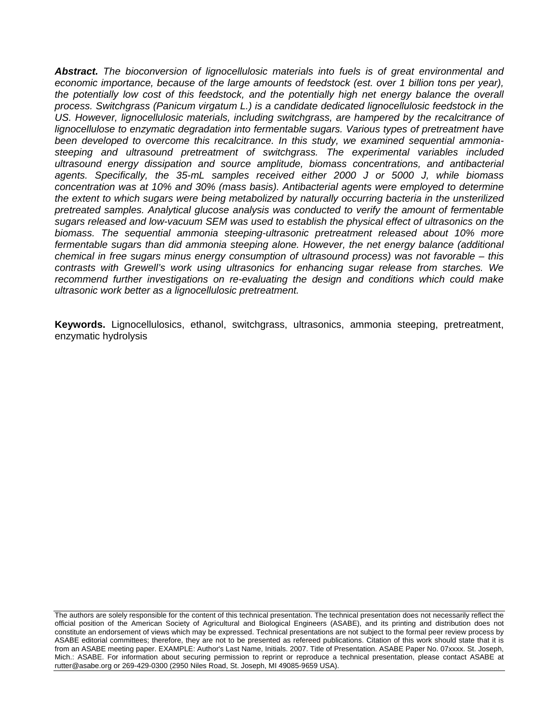*Abstract. The bioconversion of lignocellulosic materials into fuels is of great environmental and*  economic importance, because of the large amounts of feedstock (est. over 1 billion tons per year), the potentially low cost of this feedstock, and the potentially high net energy balance the overall *process. Switchgrass (Panicum virgatum L.) is a candidate dedicated lignocellulosic feedstock in the*  US. However, lignocellulosic materials, including switchgrass, are hampered by the recalcitrance of *lignocellulose to enzymatic degradation into fermentable sugars. Various types of pretreatment have been developed to overcome this recalcitrance. In this study, we examined sequential ammoniasteeping and ultrasound pretreatment of switchgrass. The experimental variables included ultrasound energy dissipation and source amplitude, biomass concentrations, and antibacterial agents. Specifically, the 35-mL samples received either 2000 J or 5000 J, while biomass concentration was at 10% and 30% (mass basis). Antibacterial agents were employed to determine the extent to which sugars were being metabolized by naturally occurring bacteria in the unsterilized pretreated samples. Analytical glucose analysis was conducted to verify the amount of fermentable sugars released and low-vacuum SEM was used to establish the physical effect of ultrasonics on the biomass. The sequential ammonia steeping-ultrasonic pretreatment released about 10% more*  fermentable sugars than did ammonia steeping alone. However, the net energy balance (additional *chemical in free sugars minus energy consumption of ultrasound process) was not favorable – this contrasts with Grewell's work using ultrasonics for enhancing sugar release from starches. We recommend further investigations on re-evaluating the design and conditions which could make ultrasonic work better as a lignocellulosic pretreatment.* 

**Keywords.** Lignocellulosics, ethanol, switchgrass, ultrasonics, ammonia steeping, pretreatment, enzymatic hydrolysis

The authors are solely responsible for the content of this technical presentation. The technical presentation does not necessarily reflect the official position of the American Society of Agricultural and Biological Engineers (ASABE), and its printing and distribution does not constitute an endorsement of views which may be expressed. Technical presentations are not subject to the formal peer review process by ASABE editorial committees; therefore, they are not to be presented as refereed publications. Citation of this work should state that it is from an ASABE meeting paper. EXAMPLE: Author's Last Name, Initials. 2007. Title of Presentation. ASABE Paper No. 07xxxx. St. Joseph, Mich.: ASABE. For information about securing permission to reprint or reproduce a technical presentation, please contact ASABE at rutter@asabe.org or 269-429-0300 (2950 Niles Road, St. Joseph, MI 49085-9659 USA).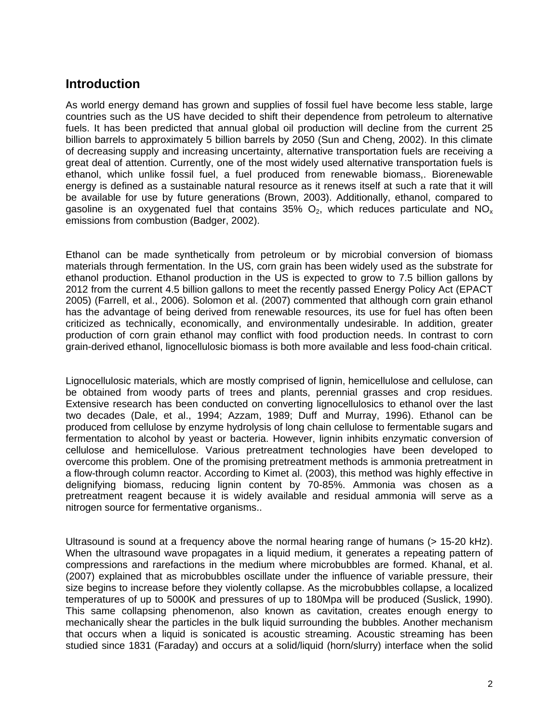### **Introduction**

As world energy demand has grown and supplies of fossil fuel have become less stable, large countries such as the US have decided to shift their dependence from petroleum to alternative fuels. It has been predicted that annual global oil production will decline from the current 25 billion barrels to approximately 5 billion barrels by 2050 (Sun and Cheng, 2002). In this climate of decreasing supply and increasing uncertainty, alternative transportation fuels are receiving a great deal of attention. Currently, one of the most widely used alternative transportation fuels is ethanol, which unlike fossil fuel, a fuel produced from renewable biomass,. Biorenewable energy is defined as a sustainable natural resource as it renews itself at such a rate that it will be available for use by future generations (Brown, 2003). Additionally, ethanol, compared to gasoline is an oxygenated fuel that contains 35%  $O_2$ , which reduces particulate and NO<sub>x</sub> emissions from combustion (Badger, 2002).

Ethanol can be made synthetically from petroleum or by microbial conversion of biomass materials through fermentation. In the US, corn grain has been widely used as the substrate for ethanol production. Ethanol production in the US is expected to grow to 7.5 billion gallons by 2012 from the current 4.5 billion gallons to meet the recently passed Energy Policy Act (EPACT 2005) (Farrell, et al., 2006). Solomon et al. (2007) commented that although corn grain ethanol has the advantage of being derived from renewable resources, its use for fuel has often been criticized as technically, economically, and environmentally undesirable. In addition, greater production of corn grain ethanol may conflict with food production needs. In contrast to corn grain-derived ethanol, lignocellulosic biomass is both more available and less food-chain critical.

Lignocellulosic materials, which are mostly comprised of lignin, hemicellulose and cellulose, can be obtained from woody parts of trees and plants, perennial grasses and crop residues. Extensive research has been conducted on converting lignocellulosics to ethanol over the last two decades (Dale, et al., 1994; Azzam, 1989; Duff and Murray, 1996). Ethanol can be produced from cellulose by enzyme hydrolysis of long chain cellulose to fermentable sugars and fermentation to alcohol by yeast or bacteria. However, lignin inhibits enzymatic conversion of cellulose and hemicellulose. Various pretreatment technologies have been developed to overcome this problem. One of the promising pretreatment methods is ammonia pretreatment in a flow-through column reactor. According to Kimet al. (2003), this method was highly effective in delignifying biomass, reducing lignin content by 70-85%. Ammonia was chosen as a pretreatment reagent because it is widely available and residual ammonia will serve as a nitrogen source for fermentative organisms..

Ultrasound is sound at a frequency above the normal hearing range of humans (> 15-20 kHz). When the ultrasound wave propagates in a liquid medium, it generates a repeating pattern of compressions and rarefactions in the medium where microbubbles are formed. Khanal, et al. (2007) explained that as microbubbles oscillate under the influence of variable pressure, their size begins to increase before they violently collapse. As the microbubbles collapse, a localized temperatures of up to 5000K and pressures of up to 180Mpa will be produced (Suslick, 1990). This same collapsing phenomenon, also known as cavitation, creates enough energy to mechanically shear the particles in the bulk liquid surrounding the bubbles. Another mechanism that occurs when a liquid is sonicated is acoustic streaming. Acoustic streaming has been studied since 1831 (Faraday) and occurs at a solid/liquid (horn/slurry) interface when the solid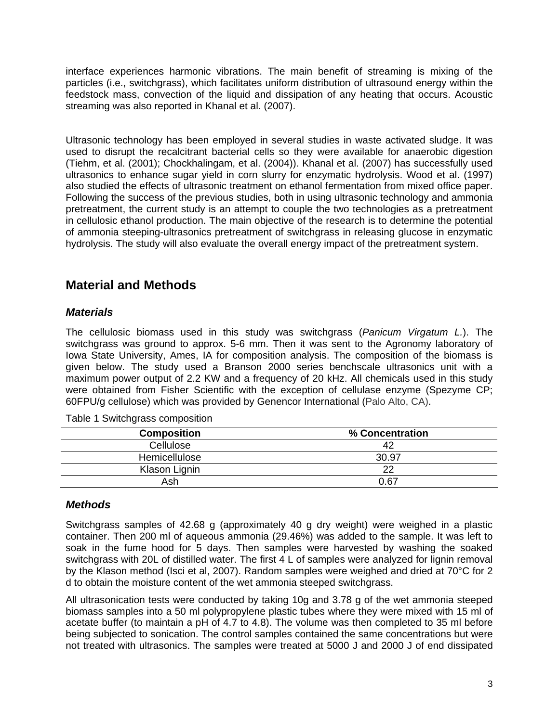interface experiences harmonic vibrations. The main benefit of streaming is mixing of the particles (i.e., switchgrass), which facilitates uniform distribution of ultrasound energy within the feedstock mass, convection of the liquid and dissipation of any heating that occurs. Acoustic streaming was also reported in Khanal et al. (2007).

Ultrasonic technology has been employed in several studies in waste activated sludge. It was used to disrupt the recalcitrant bacterial cells so they were available for anaerobic digestion (Tiehm, et al. (2001); Chockhalingam, et al. (2004)). Khanal et al. (2007) has successfully used ultrasonics to enhance sugar yield in corn slurry for enzymatic hydrolysis. Wood et al. (1997) also studied the effects of ultrasonic treatment on ethanol fermentation from mixed office paper. Following the success of the previous studies, both in using ultrasonic technology and ammonia pretreatment, the current study is an attempt to couple the two technologies as a pretreatment in cellulosic ethanol production. The main objective of the research is to determine the potential of ammonia steeping-ultrasonics pretreatment of switchgrass in releasing glucose in enzymatic hydrolysis. The study will also evaluate the overall energy impact of the pretreatment system.

## **Material and Methods**

#### *Materials*

The cellulosic biomass used in this study was switchgrass (*Panicum Virgatum L.*). The switchgrass was ground to approx. 5-6 mm. Then it was sent to the Agronomy laboratory of Iowa State University, Ames, IA for composition analysis. The composition of the biomass is given below. The study used a Branson 2000 series benchscale ultrasonics unit with a maximum power output of 2.2 KW and a frequency of 20 kHz. All chemicals used in this study were obtained from Fisher Scientific with the exception of cellulase enzyme (Spezyme CP; 60FPU/g cellulose) which was provided by Genencor International (Palo Alto, CA).

| <b>Composition</b> | % Concentration |
|--------------------|-----------------|
| Cellulose          | 42              |
| Hemicellulose      | 30.97           |
| Klason Lignin      | 22              |
| Ash                | 0.67            |

Table 1 Switchgrass composition

#### *Methods*

Switchgrass samples of 42.68 g (approximately 40 g dry weight) were weighed in a plastic container. Then 200 ml of aqueous ammonia (29.46%) was added to the sample. It was left to soak in the fume hood for 5 days. Then samples were harvested by washing the soaked switchgrass with 20L of distilled water. The first 4 L of samples were analyzed for lignin removal by the Klason method (Isci et al, 2007). Random samples were weighed and dried at 70°C for 2 d to obtain the moisture content of the wet ammonia steeped switchgrass.

All ultrasonication tests were conducted by taking 10g and 3.78 g of the wet ammonia steeped biomass samples into a 50 ml polypropylene plastic tubes where they were mixed with 15 ml of acetate buffer (to maintain a pH of 4.7 to 4.8). The volume was then completed to 35 ml before being subjected to sonication. The control samples contained the same concentrations but were not treated with ultrasonics. The samples were treated at 5000 J and 2000 J of end dissipated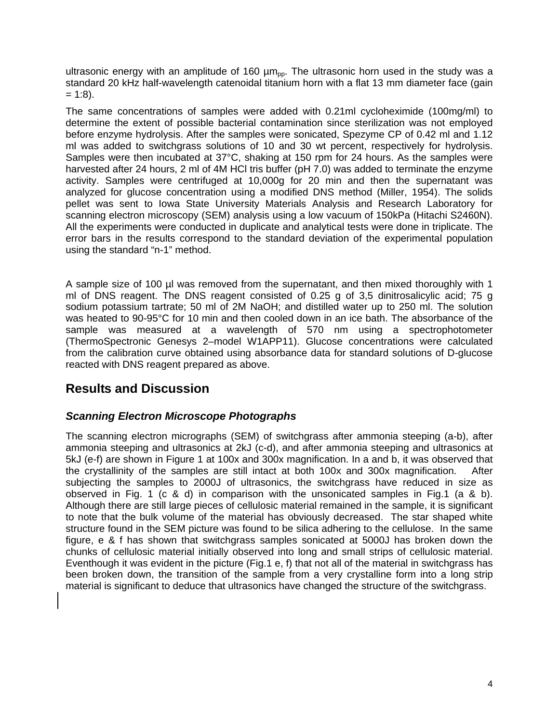ultrasonic energy with an amplitude of 160  $\mu$ m<sub>pp</sub>. The ultrasonic horn used in the study was a standard 20 kHz half-wavelength catenoidal titanium horn with a flat 13 mm diameter face (gain  $= 1:8$ ).

The same concentrations of samples were added with 0.21ml cycloheximide (100mg/ml) to determine the extent of possible bacterial contamination since sterilization was not employed before enzyme hydrolysis. After the samples were sonicated, Spezyme CP of 0.42 ml and 1.12 ml was added to switchgrass solutions of 10 and 30 wt percent, respectively for hydrolysis. Samples were then incubated at 37°C, shaking at 150 rpm for 24 hours. As the samples were harvested after 24 hours, 2 ml of 4M HCl tris buffer (pH 7.0) was added to terminate the enzyme activity. Samples were centrifuged at 10,000g for 20 min and then the supernatant was analyzed for glucose concentration using a modified DNS method (Miller, 1954). The solids pellet was sent to Iowa State University Materials Analysis and Research Laboratory for scanning electron microscopy (SEM) analysis using a low vacuum of 150kPa (Hitachi S2460N). All the experiments were conducted in duplicate and analytical tests were done in triplicate. The error bars in the results correspond to the standard deviation of the experimental population using the standard "n-1" method.

A sample size of 100 µl was removed from the supernatant, and then mixed thoroughly with 1 ml of DNS reagent. The DNS reagent consisted of 0.25 g of 3,5 dinitrosalicylic acid; 75 g sodium potassium tartrate; 50 ml of 2M NaOH; and distilled water up to 250 ml. The solution was heated to 90-95°C for 10 min and then cooled down in an ice bath. The absorbance of the sample was measured at a wavelength of 570 nm using a spectrophotometer (ThermoSpectronic Genesys 2–model W1APP11). Glucose concentrations were calculated from the calibration curve obtained using absorbance data for standard solutions of D-glucose reacted with DNS reagent prepared as above.

### **Results and Discussion**

#### *Scanning Electron Microscope Photographs*

The scanning electron micrographs (SEM) of switchgrass after ammonia steeping (a-b), after ammonia steeping and ultrasonics at 2kJ (c-d), and after ammonia steeping and ultrasonics at 5kJ (e-f) are shown in Figure 1 at 100x and 300x magnification. In a and b, it was observed that the crystallinity of the samples are still intact at both 100x and 300x magnification. After subjecting the samples to 2000J of ultrasonics, the switchgrass have reduced in size as observed in Fig. 1 (c & d) in comparison with the unsonicated samples in Fig.1 (a & b). Although there are still large pieces of cellulosic material remained in the sample, it is significant to note that the bulk volume of the material has obviously decreased. The star shaped white structure found in the SEM picture was found to be silica adhering to the cellulose. In the same figure, e & f has shown that switchgrass samples sonicated at 5000J has broken down the chunks of cellulosic material initially observed into long and small strips of cellulosic material. Eventhough it was evident in the picture (Fig.1 e, f) that not all of the material in switchgrass has been broken down, the transition of the sample from a very crystalline form into a long strip material is significant to deduce that ultrasonics have changed the structure of the switchgrass.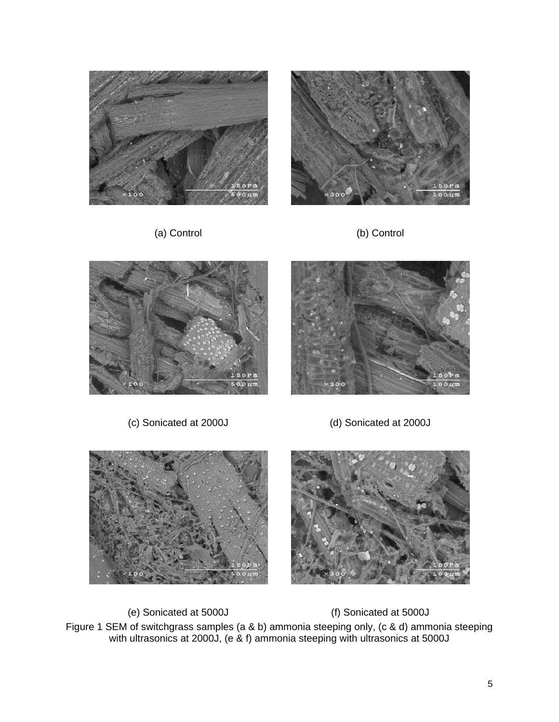







(c) Sonicated at 2000J (d) Sonicated at 2000J



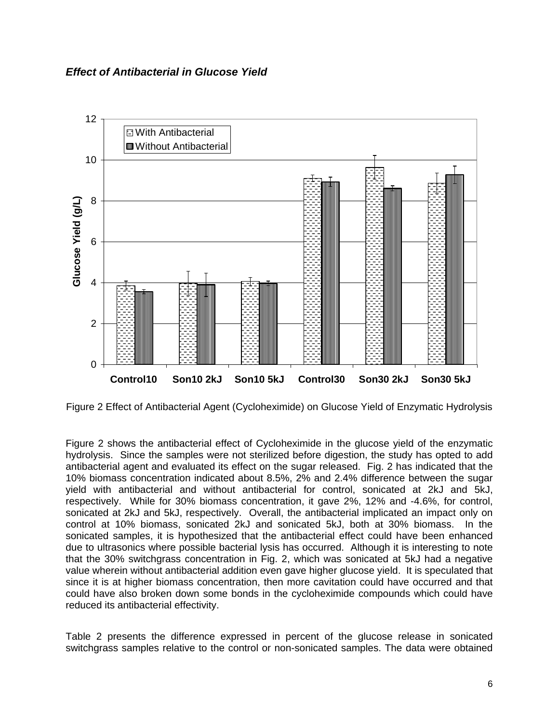

Figure 2 Effect of Antibacterial Agent (Cycloheximide) on Glucose Yield of Enzymatic Hydrolysis

Figure 2 shows the antibacterial effect of Cycloheximide in the glucose yield of the enzymatic hydrolysis. Since the samples were not sterilized before digestion, the study has opted to add antibacterial agent and evaluated its effect on the sugar released. Fig. 2 has indicated that the 10% biomass concentration indicated about 8.5%, 2% and 2.4% difference between the sugar yield with antibacterial and without antibacterial for control, sonicated at 2kJ and 5kJ, respectively. While for 30% biomass concentration, it gave 2%, 12% and -4.6%, for control, sonicated at 2kJ and 5kJ, respectively. Overall, the antibacterial implicated an impact only on control at 10% biomass, sonicated 2kJ and sonicated 5kJ, both at 30% biomass. In the sonicated samples, it is hypothesized that the antibacterial effect could have been enhanced due to ultrasonics where possible bacterial lysis has occurred. Although it is interesting to note that the 30% switchgrass concentration in Fig. 2, which was sonicated at 5kJ had a negative value wherein without antibacterial addition even gave higher glucose yield. It is speculated that since it is at higher biomass concentration, then more cavitation could have occurred and that could have also broken down some bonds in the cycloheximide compounds which could have reduced its antibacterial effectivity.

Table 2 presents the difference expressed in percent of the glucose release in sonicated switchgrass samples relative to the control or non-sonicated samples. The data were obtained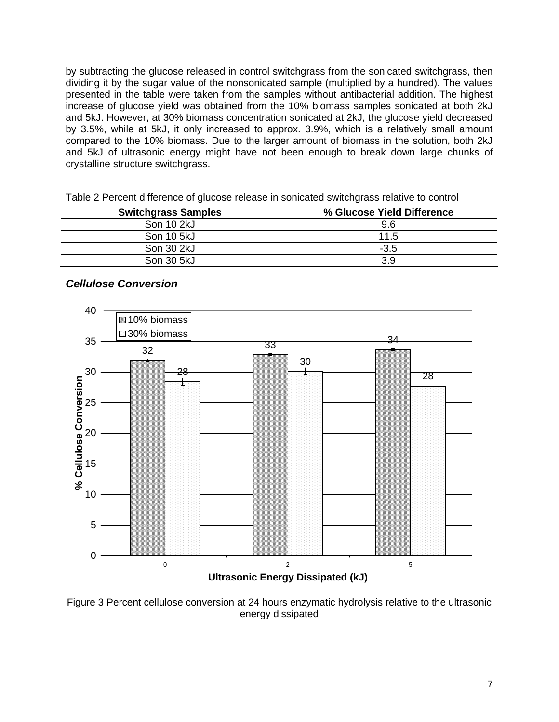by subtracting the glucose released in control switchgrass from the sonicated switchgrass, then dividing it by the sugar value of the nonsonicated sample (multiplied by a hundred). The values presented in the table were taken from the samples without antibacterial addition. The highest increase of glucose yield was obtained from the 10% biomass samples sonicated at both 2kJ and 5kJ. However, at 30% biomass concentration sonicated at 2kJ, the glucose yield decreased by 3.5%, while at 5kJ, it only increased to approx. 3.9%, which is a relatively small amount compared to the 10% biomass. Due to the larger amount of biomass in the solution, both 2kJ and 5kJ of ultrasonic energy might have not been enough to break down large chunks of crystalline structure switchgrass.

| <b>Switchgrass Samples</b> | % Glucose Yield Difference |
|----------------------------|----------------------------|
| Son 10 2kJ                 | 9.6                        |
| Son 10 5kJ                 | 11.5                       |
| Son 30 2kJ                 | $-3.5$                     |
| Son 30 5kJ                 | 3.9                        |
|                            |                            |

Table 2 Percent difference of glucose release in sonicated switchgrass relative to control

#### *Cellulose Conversion*



Figure 3 Percent cellulose conversion at 24 hours enzymatic hydrolysis relative to the ultrasonic energy dissipated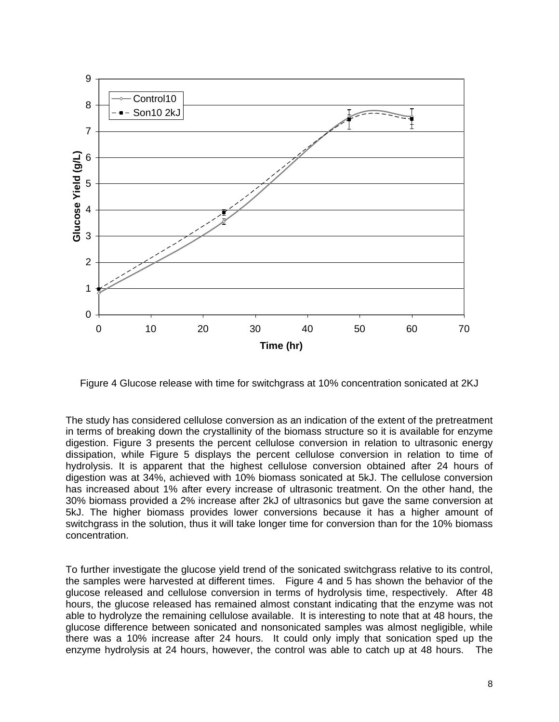

Figure 4 Glucose release with time for switchgrass at 10% concentration sonicated at 2KJ

The study has considered cellulose conversion as an indication of the extent of the pretreatment in terms of breaking down the crystallinity of the biomass structure so it is available for enzyme digestion. Figure 3 presents the percent cellulose conversion in relation to ultrasonic energy dissipation, while Figure 5 displays the percent cellulose conversion in relation to time of hydrolysis. It is apparent that the highest cellulose conversion obtained after 24 hours of digestion was at 34%, achieved with 10% biomass sonicated at 5kJ. The cellulose conversion has increased about 1% after every increase of ultrasonic treatment. On the other hand, the 30% biomass provided a 2% increase after 2kJ of ultrasonics but gave the same conversion at 5kJ. The higher biomass provides lower conversions because it has a higher amount of switchgrass in the solution, thus it will take longer time for conversion than for the 10% biomass concentration.

To further investigate the glucose yield trend of the sonicated switchgrass relative to its control, the samples were harvested at different times. Figure 4 and 5 has shown the behavior of the glucose released and cellulose conversion in terms of hydrolysis time, respectively. After 48 hours, the glucose released has remained almost constant indicating that the enzyme was not able to hydrolyze the remaining cellulose available. It is interesting to note that at 48 hours, the glucose difference between sonicated and nonsonicated samples was almost negligible, while there was a 10% increase after 24 hours. It could only imply that sonication sped up the enzyme hydrolysis at 24 hours, however, the control was able to catch up at 48 hours. The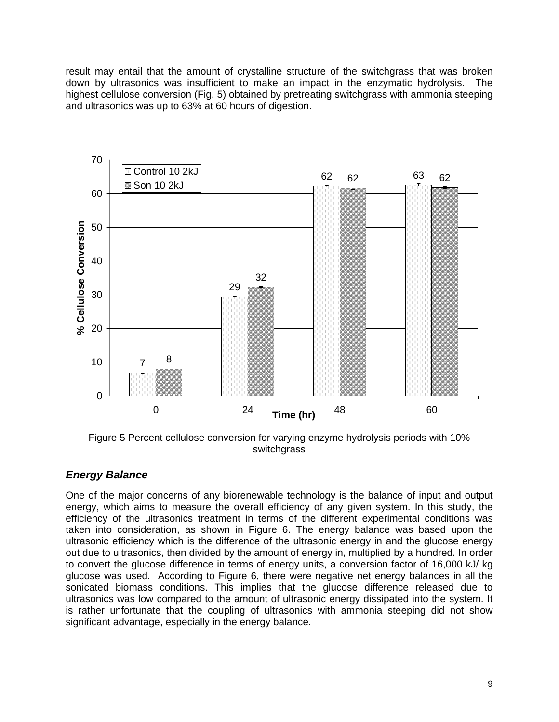result may entail that the amount of crystalline structure of the switchgrass that was broken down by ultrasonics was insufficient to make an impact in the enzymatic hydrolysis. The highest cellulose conversion (Fig. 5) obtained by pretreating switchgrass with ammonia steeping and ultrasonics was up to 63% at 60 hours of digestion.



Figure 5 Percent cellulose conversion for varying enzyme hydrolysis periods with 10% switchgrass

#### *Energy Balance*

One of the major concerns of any biorenewable technology is the balance of input and output energy, which aims to measure the overall efficiency of any given system. In this study, the efficiency of the ultrasonics treatment in terms of the different experimental conditions was taken into consideration, as shown in Figure 6. The energy balance was based upon the ultrasonic efficiency which is the difference of the ultrasonic energy in and the glucose energy out due to ultrasonics, then divided by the amount of energy in, multiplied by a hundred. In order to convert the glucose difference in terms of energy units, a conversion factor of 16,000 kJ/ kg glucose was used. According to Figure 6, there were negative net energy balances in all the sonicated biomass conditions. This implies that the glucose difference released due to ultrasonics was low compared to the amount of ultrasonic energy dissipated into the system. It is rather unfortunate that the coupling of ultrasonics with ammonia steeping did not show significant advantage, especially in the energy balance.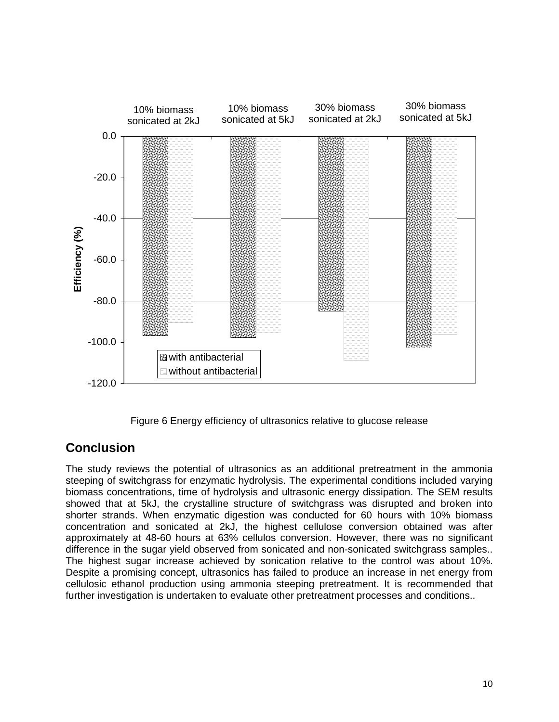

Figure 6 Energy efficiency of ultrasonics relative to glucose release

# **Conclusion**

The study reviews the potential of ultrasonics as an additional pretreatment in the ammonia steeping of switchgrass for enzymatic hydrolysis. The experimental conditions included varying biomass concentrations, time of hydrolysis and ultrasonic energy dissipation. The SEM results showed that at 5kJ, the crystalline structure of switchgrass was disrupted and broken into shorter strands. When enzymatic digestion was conducted for 60 hours with 10% biomass concentration and sonicated at 2kJ, the highest cellulose conversion obtained was after approximately at 48-60 hours at 63% cellulos conversion. However, there was no significant difference in the sugar yield observed from sonicated and non-sonicated switchgrass samples.. The highest sugar increase achieved by sonication relative to the control was about 10%. Despite a promising concept, ultrasonics has failed to produce an increase in net energy from cellulosic ethanol production using ammonia steeping pretreatment. It is recommended that further investigation is undertaken to evaluate other pretreatment processes and conditions..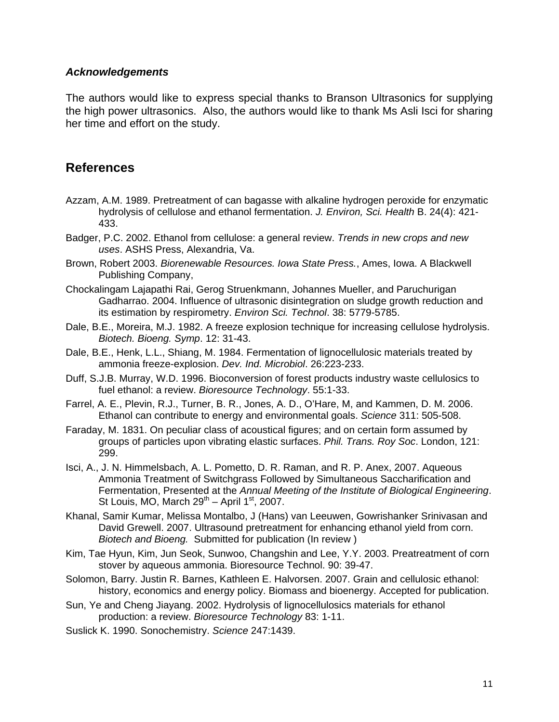#### *Acknowledgements*

The authors would like to express special thanks to Branson Ultrasonics for supplying the high power ultrasonics. Also, the authors would like to thank Ms Asli Isci for sharing her time and effort on the study.

### **References**

- Azzam, A.M. 1989. Pretreatment of can bagasse with alkaline hydrogen peroxide for enzymatic hydrolysis of cellulose and ethanol fermentation. *J. Environ, Sci. Health* B. 24(4): 421- 433.
- Badger, P.C. 2002. Ethanol from cellulose: a general review. *Trends in new crops and new uses*. ASHS Press, Alexandria, Va.
- Brown, Robert 2003. *Biorenewable Resources. Iowa State Press.*, Ames, Iowa. A Blackwell Publishing Company,
- Chockalingam Lajapathi Rai, Gerog Struenkmann, Johannes Mueller, and Paruchurigan Gadharrao. 2004. Influence of ultrasonic disintegration on sludge growth reduction and its estimation by respirometry. *Environ Sci. Technol*. 38: 5779-5785.
- Dale, B.E., Moreira, M.J. 1982. A freeze explosion technique for increasing cellulose hydrolysis. *Biotech. Bioeng. Symp*. 12: 31-43.
- Dale, B.E., Henk, L.L., Shiang, M. 1984. Fermentation of lignocellulosic materials treated by ammonia freeze-explosion. *Dev. Ind. Microbiol*. 26:223-233.
- Duff, S.J.B. Murray, W.D. 1996. Bioconversion of forest products industry waste cellulosics to fuel ethanol: a review. *Bioresource Technology*. 55:1-33.
- Farrel, A. E., Plevin, R.J., Turner, B. R., Jones, A. D., O'Hare, M, and Kammen, D. M. 2006. Ethanol can contribute to energy and environmental goals. *Science* 311: 505-508.
- Faraday, M. 1831. On peculiar class of acoustical figures; and on certain form assumed by groups of particles upon vibrating elastic surfaces. *Phil. Trans. Roy Soc*. London, 121: 299.
- Isci, A., J. N. Himmelsbach, A. L. Pometto, D. R. Raman, and R. P. Anex, 2007. Aqueous Ammonia Treatment of Switchgrass Followed by Simultaneous Saccharification and Fermentation, Presented at the *Annual Meeting of the Institute of Biological Engineering*. St Louis, MO, March  $29^{th}$  – April 1<sup>st</sup>, 2007.
- Khanal, Samir Kumar, Melissa Montalbo, J (Hans) van Leeuwen, Gowrishanker Srinivasan and David Grewell. 2007. Ultrasound pretreatment for enhancing ethanol yield from corn. *Biotech and Bioeng.* Submitted for publication (In review )
- Kim, Tae Hyun, Kim, Jun Seok, Sunwoo, Changshin and Lee, Y.Y. 2003. Preatreatment of corn stover by aqueous ammonia. Bioresource Technol. 90: 39-47.
- Solomon, Barry. Justin R. Barnes, Kathleen E. Halvorsen. 2007. Grain and cellulosic ethanol: history, economics and energy policy. Biomass and bioenergy. Accepted for publication.
- Sun, Ye and Cheng Jiayang. 2002. Hydrolysis of lignocellulosics materials for ethanol production: a review. *Bioresource Technology* 83: 1-11.
- Suslick K. 1990. Sonochemistry. *Science* 247:1439.